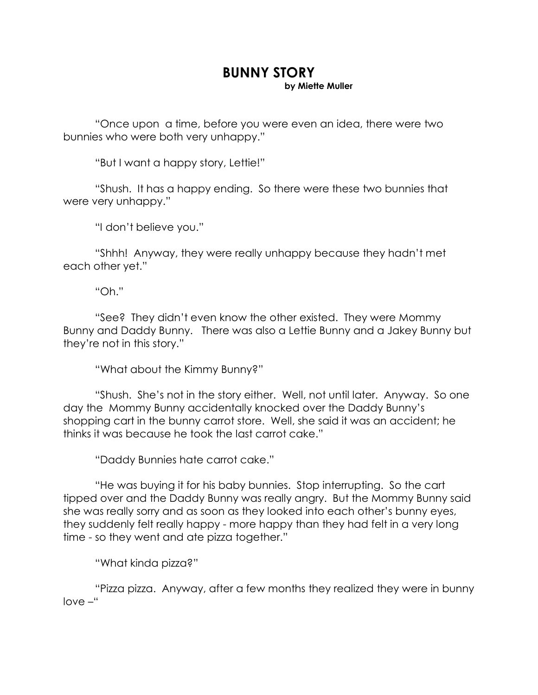## **BUNNY STORY**

**by Miette Muller** 

 "Once upon a time, before you were even an idea, there were two bunnies who were both very unhappy."

"But I want a happy story, Lettie!"

 "Shush. It has a happy ending. So there were these two bunnies that were very unhappy."

"I don't believe you."

 "Shhh! Anyway, they were really unhappy because they hadn't met each other yet."

"Oh."

 "See? They didn't even know the other existed. They were Mommy Bunny and Daddy Bunny. There was also a Lettie Bunny and a Jakey Bunny but they're not in this story."

"What about the Kimmy Bunny?"

 "Shush. She's not in the story either. Well, not until later. Anyway. So one day the Mommy Bunny accidentally knocked over the Daddy Bunny's shopping cart in the bunny carrot store. Well, she said it was an accident; he thinks it was because he took the last carrot cake."

"Daddy Bunnies hate carrot cake."

 "He was buying it for his baby bunnies. Stop interrupting. So the cart tipped over and the Daddy Bunny was really angry. But the Mommy Bunny said she was really sorry and as soon as they looked into each other's bunny eyes, they suddenly felt really happy - more happy than they had felt in a very long time - so they went and ate pizza together."

"What kinda pizza?"

 "Pizza pizza. Anyway, after a few months they realized they were in bunny love –"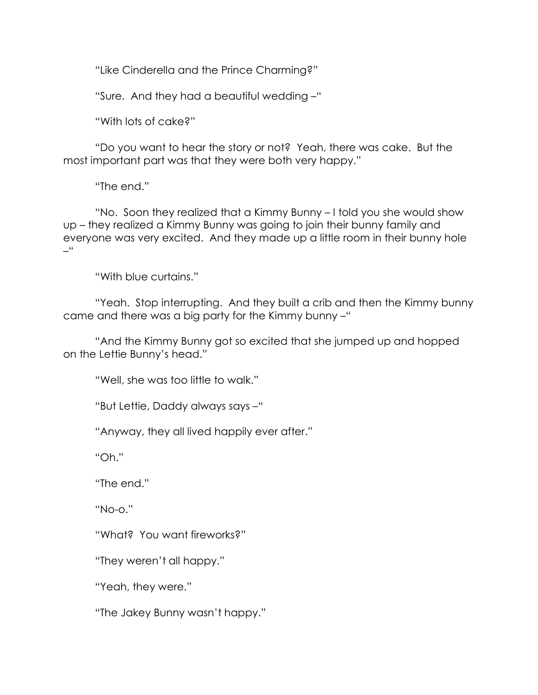"Like Cinderella and the Prince Charming?"

"Sure. And they had a beautiful wedding –"

"With lots of cake?"

 "Do you want to hear the story or not? Yeah, there was cake. But the most important part was that they were both very happy."

"The end."

 "No. Soon they realized that a Kimmy Bunny – I told you she would show up – they realized a Kimmy Bunny was going to join their bunny family and everyone was very excited. And they made up a little room in their bunny hole –"

"With blue curtains."

 "Yeah. Stop interrupting. And they built a crib and then the Kimmy bunny came and there was a big party for the Kimmy bunny –"

 "And the Kimmy Bunny got so excited that she jumped up and hopped on the Lettie Bunny's head."

"Well, she was too little to walk."

"But Lettie, Daddy always says –"

"Anyway, they all lived happily ever after."

"Oh."

"The end."

"No-o."

"What? You want fireworks?"

"They weren't all happy."

"Yeah, they were."

"The Jakey Bunny wasn't happy."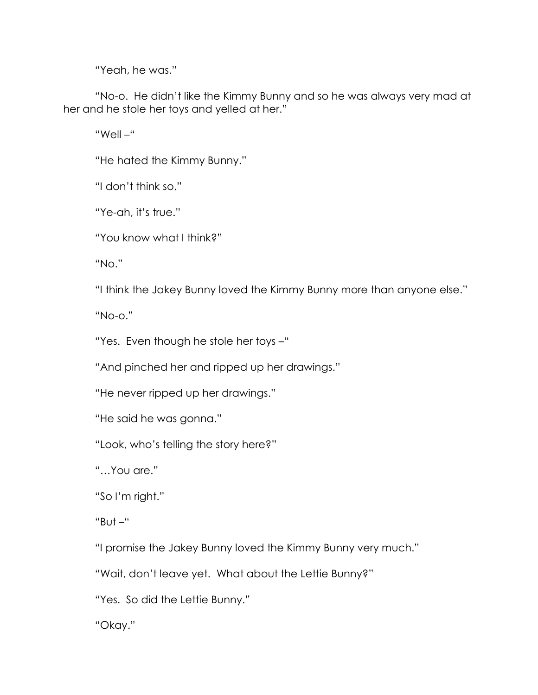"Yeah, he was."

 "No-o. He didn't like the Kimmy Bunny and so he was always very mad at her and he stole her toys and yelled at her."

"Well –"

"He hated the Kimmy Bunny."

"I don't think so."

"Ye-ah, it's true."

"You know what I think?"

"No."

"I think the Jakey Bunny loved the Kimmy Bunny more than anyone else."

"No-o."

"Yes. Even though he stole her toys –"

"And pinched her and ripped up her drawings."

"He never ripped up her drawings."

"He said he was gonna."

"Look, who's telling the story here?"

"…You are."

"So I'm right."

"But –"

"I promise the Jakey Bunny loved the Kimmy Bunny very much."

"Wait, don't leave yet. What about the Lettie Bunny?"

"Yes. So did the Lettie Bunny."

"Okay."